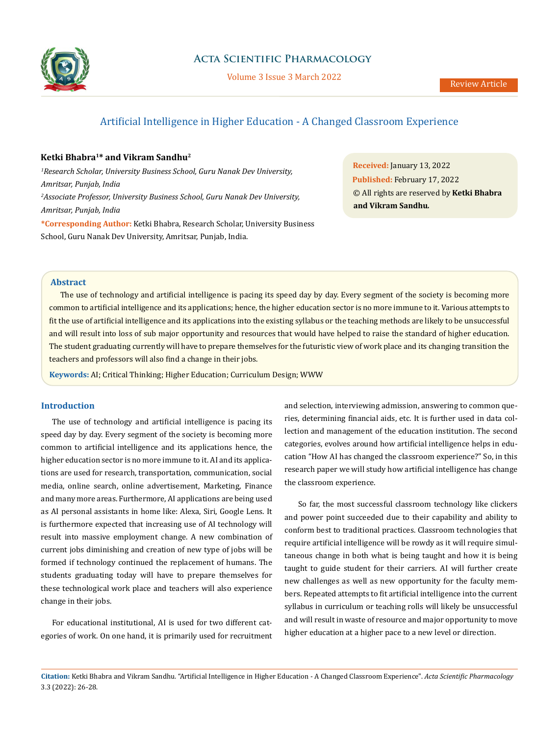

# **Acta Scientific Pharmacology**

Volume 3 Issue 3 March 2022

# Artificial Intelligence in Higher Education - A Changed Classroom Experience

# **Ketki Bhabra1\* and Vikram Sandhu2**

*1 Research Scholar, University Business School, Guru Nanak Dev University, Amritsar, Punjab, India 2 Associate Professor, University Business School, Guru Nanak Dev University, Amritsar, Punjab, India*

**\*Corresponding Author:** Ketki Bhabra, Research Scholar, University Business School, Guru Nanak Dev University, Amritsar, Punjab, India.

**Received:** January 13, 2022 **Published:** February 17, 2022 © All rights are reserved by **Ketki Bhabra and Vikram Sandhu***.*

# **Abstract**

The use of technology and artificial intelligence is pacing its speed day by day. Every segment of the society is becoming more common to artificial intelligence and its applications; hence, the higher education sector is no more immune to it. Various attempts to fit the use of artificial intelligence and its applications into the existing syllabus or the teaching methods are likely to be unsuccessful and will result into loss of sub major opportunity and resources that would have helped to raise the standard of higher education. The student graduating currently will have to prepare themselves for the futuristic view of work place and its changing transition the teachers and professors will also find a change in their jobs.

**Keywords:** AI; Critical Thinking; Higher Education; Curriculum Design; WWW

# **Introduction**

The use of technology and artificial intelligence is pacing its speed day by day. Every segment of the society is becoming more common to artificial intelligence and its applications hence, the higher education sector is no more immune to it. AI and its applications are used for research, transportation, communication, social media, online search, online advertisement, Marketing, Finance and many more areas. Furthermore, AI applications are being used as AI personal assistants in home like: Alexa, Siri, Google Lens. It is furthermore expected that increasing use of AI technology will result into massive employment change. A new combination of current jobs diminishing and creation of new type of jobs will be formed if technology continued the replacement of humans. The students graduating today will have to prepare themselves for these technological work place and teachers will also experience change in their jobs.

For educational institutional, AI is used for two different categories of work. On one hand, it is primarily used for recruitment and selection, interviewing admission, answering to common queries, determining financial aids, etc. It is further used in data collection and management of the education institution. The second categories, evolves around how artificial intelligence helps in education "How AI has changed the classroom experience?" So, in this research paper we will study how artificial intelligence has change the classroom experience.

 So far, the most successful classroom technology like clickers and power point succeeded due to their capability and ability to conform best to traditional practices. Classroom technologies that require artificial intelligence will be rowdy as it will require simultaneous change in both what is being taught and how it is being taught to guide student for their carriers. AI will further create new challenges as well as new opportunity for the faculty members. Repeated attempts to fit artificial intelligence into the current syllabus in curriculum or teaching rolls will likely be unsuccessful and will result in waste of resource and major opportunity to move higher education at a higher pace to a new level or direction.

**Citation:** Ketki Bhabra and Vikram Sandhu*.* "Artificial Intelligence in Higher Education - A Changed Classroom Experience". *Acta Scientific Pharmacology*  3.3 (2022): 26-28.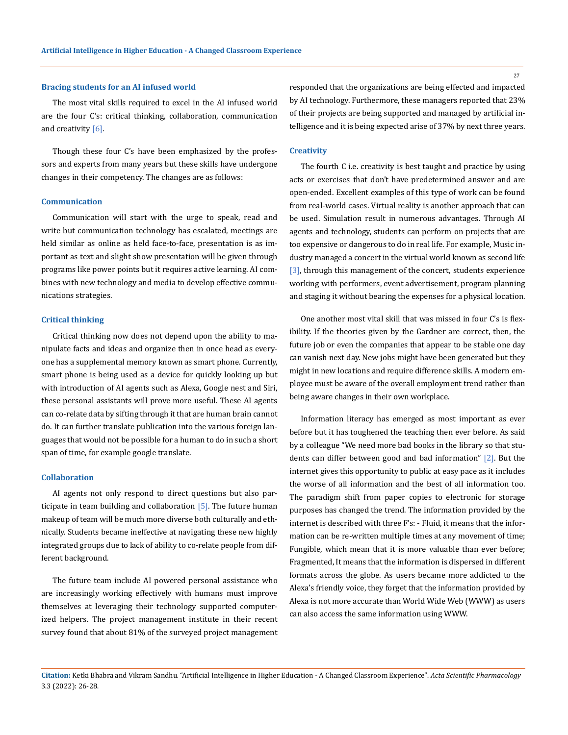### **Bracing students for an AI infused world**

The most vital skills required to excel in the AI infused world are the four C's: critical thinking, collaboration, communication and creativity  $[6]$ .

Though these four C's have been emphasized by the professors and experts from many years but these skills have undergone changes in their competency. The changes are as follows:

# **Communication**

Communication will start with the urge to speak, read and write but communication technology has escalated, meetings are held similar as online as held face-to-face, presentation is as important as text and slight show presentation will be given through programs like power points but it requires active learning. AI combines with new technology and media to develop effective communications strategies.

#### **Critical thinking**

Critical thinking now does not depend upon the ability to manipulate facts and ideas and organize then in once head as everyone has a supplemental memory known as smart phone. Currently, smart phone is being used as a device for quickly looking up but with introduction of AI agents such as Alexa, Google nest and Siri, these personal assistants will prove more useful. These AI agents can co-relate data by sifting through it that are human brain cannot do. It can further translate publication into the various foreign languages that would not be possible for a human to do in such a short span of time, for example google translate.

#### **Collaboration**

AI agents not only respond to direct questions but also participate in team building and collaboration [5]. The future human makeup of team will be much more diverse both culturally and ethnically. Students became ineffective at navigating these new highly integrated groups due to lack of ability to co-relate people from different background.

The future team include AI powered personal assistance who are increasingly working effectively with humans must improve themselves at leveraging their technology supported computerized helpers. The project management institute in their recent survey found that about 81% of the surveyed project management responded that the organizations are being effected and impacted by AI technology. Furthermore, these managers reported that 23% of their projects are being supported and managed by artificial intelligence and it is being expected arise of 37% by next three years.

### **Creativity**

The fourth C i.e. creativity is best taught and practice by using acts or exercises that don't have predetermined answer and are open-ended. Excellent examples of this type of work can be found from real-world cases. Virtual reality is another approach that can be used. Simulation result in numerous advantages. Through AI agents and technology, students can perform on projects that are too expensive or dangerous to do in real life. For example, Music industry managed a concert in the virtual world known as second life [3], through this management of the concert, students experience working with performers, event advertisement, program planning and staging it without bearing the expenses for a physical location.

One another most vital skill that was missed in four C's is flexibility. If the theories given by the Gardner are correct, then, the future job or even the companies that appear to be stable one day can vanish next day. New jobs might have been generated but they might in new locations and require difference skills. A modern employee must be aware of the overall employment trend rather than being aware changes in their own workplace.

Information literacy has emerged as most important as ever before but it has toughened the teaching then ever before. As said by a colleague "We need more bad books in the library so that students can differ between good and bad information" [2]. But the internet gives this opportunity to public at easy pace as it includes the worse of all information and the best of all information too. The paradigm shift from paper copies to electronic for storage purposes has changed the trend. The information provided by the internet is described with three F's: - Fluid, it means that the information can be re-written multiple times at any movement of time; Fungible, which mean that it is more valuable than ever before; Fragmented, It means that the information is dispersed in different formats across the globe. As users became more addicted to the Alexa's friendly voice, they forget that the information provided by Alexa is not more accurate than World Wide Web (WWW) as users can also access the same information using WWW.

27

**Citation:** Ketki Bhabra and Vikram Sandhu*.* "Artificial Intelligence in Higher Education - A Changed Classroom Experience". *Acta Scientific Pharmacology*  3.3 (2022): 26-28.